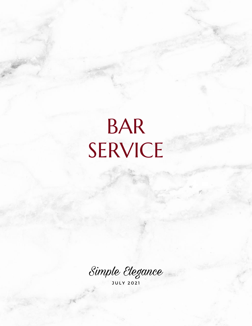# BAR SERVICE

Simple Elegance

J U L Y 2 0 2 1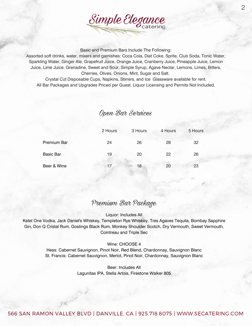

Basic and Premium Bars Include The Following:

Assorted soft drinks, water, mixers and garnishes: Coca Cola, Diet Coke, Sprite, Club Soda, Tonic Water, Sparkling Water, Ginger Ale, Grapefruit Juice, Orange Juice, Cranberry Juice, Pineapple Juice, Lemon Juice, Lime Juice, Grenadine, Sweet and Sour, Simple Syrup, Agave Nectar, Lemons, Limes, Bitters, Cherries, Olives, Onions, Mint, Sugar and Salt.

Crystal Cut Disposable Cups, Napkins, Stirrers, and Ice Glassware available for rent. All Bar Packages and Upgrades Priced per Guest. Liquor Licensing and Permits Not Included.

### Open Bar Services

|                    | 2 Hours | 3 Hours | 4 Hours | 5 Hours |
|--------------------|---------|---------|---------|---------|
| <b>Premium Bar</b> | 24      | 26      | 28      | 32      |
| <b>Basic Bar</b>   | 19      | 20      | 22      | 26      |
| Beer & Wine        | 17      | 18      | 20      | 23      |
|                    |         |         |         |         |

## Premium Bar Package

Liquor: Includes All

Ketel One Vodka, Jack Daniel's Whiskey, Templeton Rye Whiskey, Tres Agaves Tequila, Bombay Sapphire Gin, Don Q Cristal Rum, Goslings Black Rum, Monkey Shoulder Scotch, Dry Vermouth, Sweet Vermouth, Cointreau and Triple Sec

#### Wine: CHOOSE 4

Hess: Cabernet Sauvignon, Pinot Noir, Red Blend, Chardonnay, Sauvignon Blanc St. Francis: Cabernet Sauvignon, Merlot, Pinot Noir, Chardonnay, Sauvignon Blanc

> Beer: Includes All Lagunitas IPA, Stella Artois, Firestone Walker 805